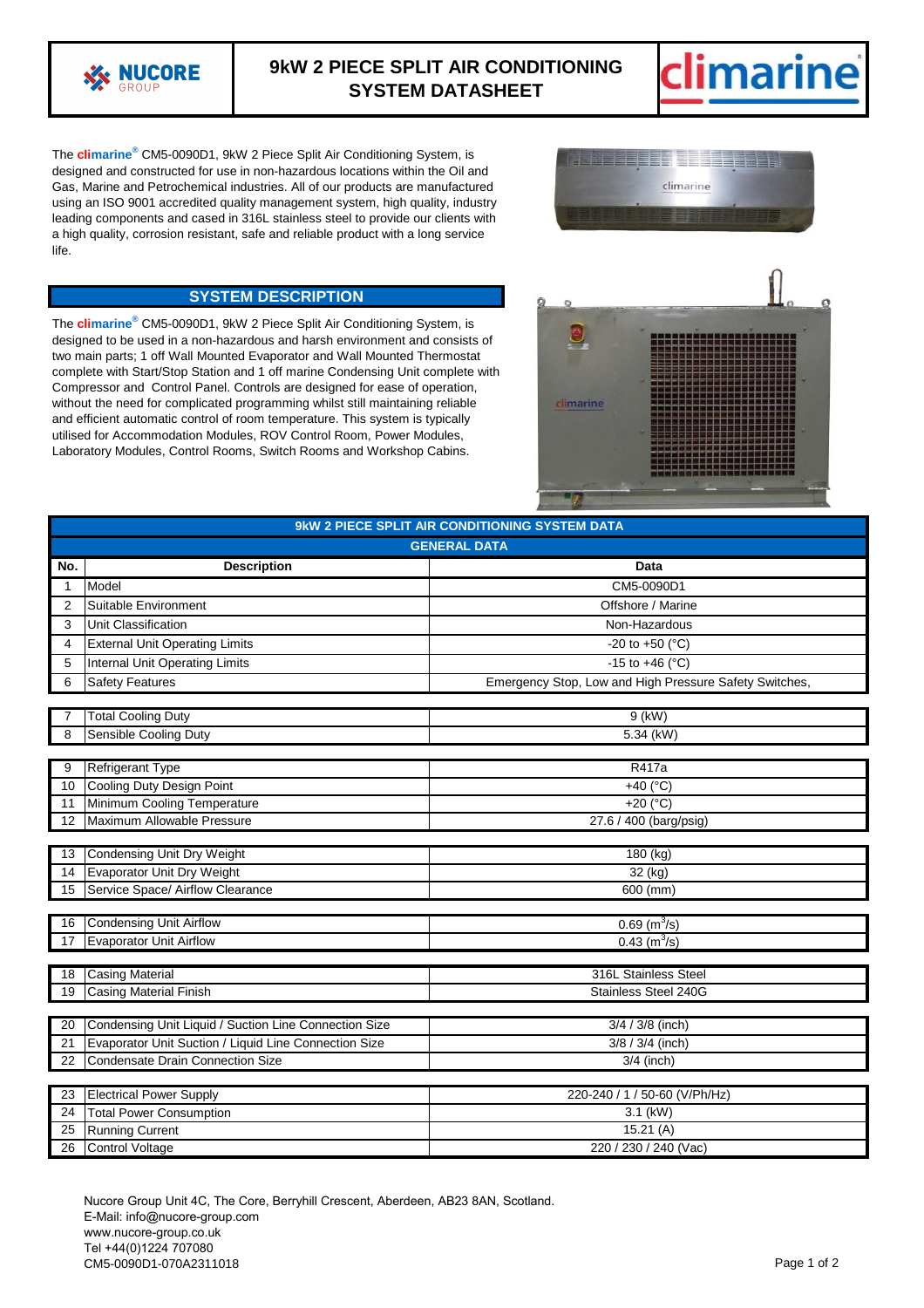

## **9kW 2 PIECE SPLIT AIR CONDITIONING SYSTEM DATASHEET**



The **climarine®** CM5-0090D1, 9kW 2 Piece Split Air Conditioning System, is designed and constructed for use in non-hazardous locations within the Oil and Gas, Marine and Petrochemical industries. All of our products are manufactured using an ISO 9001 accredited quality management system, high quality, industry leading components and cased in 316L stainless steel to provide our clients with a high quality, corrosion resistant, safe and reliable product with a long service life.



## **SYSTEM DESCRIPTION**

The **climarine®** CM5-0090D1, 9kW 2 Piece Split Air Conditioning System, is designed to be used in a non-hazardous and harsh environment and consists of two main parts; 1 off Wall Mounted Evaporator and Wall Mounted Thermostat complete with Start/Stop Station and 1 off marine Condensing Unit complete with Compressor and Control Panel. Controls are designed for ease of operation, without the need for complicated programming whilst still maintaining reliable and efficient automatic control of room temperature. This system is typically utilised for Accommodation Modules, ROV Control Room, Power Modules, Laboratory Modules, Control Rooms, Switch Rooms and Workshop Cabins.



| 9kW 2 PIECE SPLIT AIR CONDITIONING SYSTEM DATA |                                                       |                                                        |
|------------------------------------------------|-------------------------------------------------------|--------------------------------------------------------|
| <b>GENERAL DATA</b>                            |                                                       |                                                        |
| No.                                            | <b>Description</b>                                    | Data                                                   |
| 1                                              | Model                                                 | CM5-0090D1                                             |
| $\overline{2}$                                 | Suitable Environment                                  | Offshore / Marine                                      |
| 3                                              | Unit Classification                                   | Non-Hazardous                                          |
| 4                                              | <b>External Unit Operating Limits</b>                 | -20 to +50 ( $^{\circ}$ C)                             |
| 5                                              | <b>Internal Unit Operating Limits</b>                 | -15 to +46 ( $^{\circ}$ C)                             |
| 6                                              | Safety Features                                       | Emergency Stop, Low and High Pressure Safety Switches, |
|                                                |                                                       |                                                        |
|                                                | <b>Total Cooling Duty</b>                             | $9$ (kW)                                               |
| 8                                              | Sensible Cooling Duty                                 | 5.34 (kW)                                              |
| 9                                              | <b>Refrigerant Type</b>                               | R417a                                                  |
| 10                                             | Cooling Duty Design Point                             | +40 $(^{\circ}C)$                                      |
| 11                                             | Minimum Cooling Temperature                           | +20 $(C)$                                              |
| 12                                             | Maximum Allowable Pressure                            | 27.6 / 400 (barg/psig)                                 |
|                                                |                                                       |                                                        |
| 13                                             | <b>Condensing Unit Dry Weight</b>                     | $180$ (kg)                                             |
| 14                                             | <b>Evaporator Unit Dry Weight</b>                     | 32 (kg)                                                |
| 15                                             | Service Space/ Airflow Clearance                      | 600 (mm)                                               |
|                                                |                                                       |                                                        |
| 16                                             | <b>Condensing Unit Airflow</b>                        | $0.69$ (m <sup>3</sup> /s)                             |
| 17                                             | <b>Evaporator Unit Airflow</b>                        | $0.43$ (m <sup>3</sup> /s)                             |
| 18                                             | <b>Casing Material</b>                                | 316L Stainless Steel                                   |
| 19                                             | <b>Casing Material Finish</b>                         | Stainless Steel 240G                                   |
|                                                |                                                       |                                                        |
| $\overline{20}$                                | Condensing Unit Liquid / Suction Line Connection Size | $3/4 / 3/8$ (inch)                                     |
| 21                                             | Evaporator Unit Suction / Liquid Line Connection Size | 3/8 / 3/4 (inch)                                       |
| 22                                             | <b>Condensate Drain Connection Size</b>               | 3/4 (inch)                                             |
|                                                |                                                       |                                                        |
| 23                                             | <b>Electrical Power Supply</b>                        | 220-240 / 1 / 50-60 (V/Ph/Hz)                          |
| 24                                             | <b>Total Power Consumption</b>                        | $3.1$ (kW)                                             |
| 25                                             | <b>Running Current</b>                                | 15.21(A)                                               |
| 26                                             | <b>Control Voltage</b>                                | 220 / 230 / 240 (Vac)                                  |

Nucore Group Unit 4C, The Core, Berryhill Crescent, Aberdeen, AB23 8AN, Scotland. E-Mail: info@nucore-group.com www.nucore-group.co.uk Tel +44(0)1224 707080 CM5-0090D1-070A2311018 Page 1 of 2